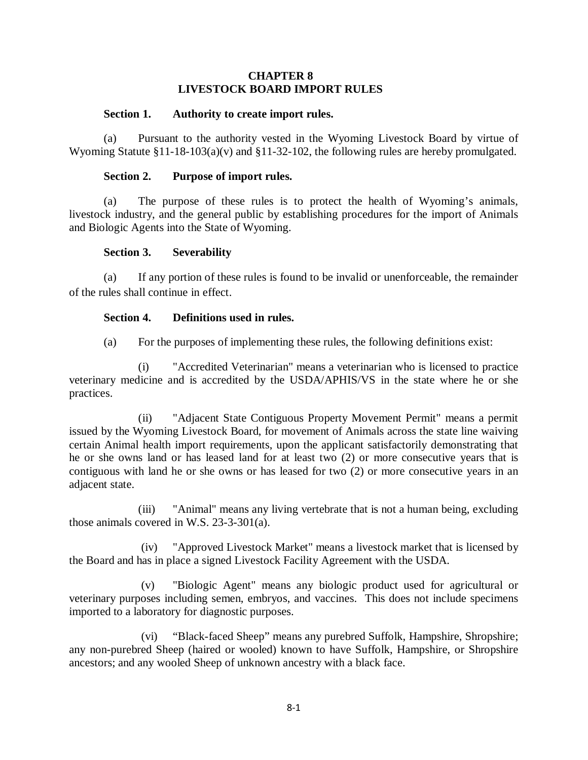### **CHAPTER 8 LIVESTOCK BOARD IMPORT RULES**

### **Section 1. Authority to create import rules.**

(a) Pursuant to the authority vested in the Wyoming Livestock Board by virtue of Wyoming Statute §11-18-103(a)(v) and §11-32-102, the following rules are hereby promulgated.

### **Section 2. Purpose of import rules.**

(a) The purpose of these rules is to protect the health of Wyoming's animals, livestock industry, and the general public by establishing procedures for the import of Animals and Biologic Agents into the State of Wyoming.

### **Section 3. Severability**

(a) If any portion of these rules is found to be invalid or unenforceable, the remainder of the rules shall continue in effect.

### **Section 4. Definitions used in rules.**

(a) For the purposes of implementing these rules, the following definitions exist:

(i) "Accredited Veterinarian" means a veterinarian who is licensed to practice veterinary medicine and is accredited by the USDA/APHIS/VS in the state where he or she practices.

(ii) "Adjacent State Contiguous Property Movement Permit" means a permit issued by the Wyoming Livestock Board, for movement of Animals across the state line waiving certain Animal health import requirements, upon the applicant satisfactorily demonstrating that he or she owns land or has leased land for at least two (2) or more consecutive years that is contiguous with land he or she owns or has leased for two (2) or more consecutive years in an adjacent state.

(iii) "Animal" means any living vertebrate that is not a human being, excluding those animals covered in W.S. 23-3-301(a).

(iv) "Approved Livestock Market" means a livestock market that is licensed by the Board and has in place a signed Livestock Facility Agreement with the USDA.

(v) "Biologic Agent" means any biologic product used for agricultural or veterinary purposes including semen, embryos, and vaccines. This does not include specimens imported to a laboratory for diagnostic purposes.

(vi) "Black-faced Sheep" means any purebred Suffolk, Hampshire, Shropshire; any non-purebred Sheep (haired or wooled) known to have Suffolk, Hampshire, or Shropshire ancestors; and any wooled Sheep of unknown ancestry with a black face.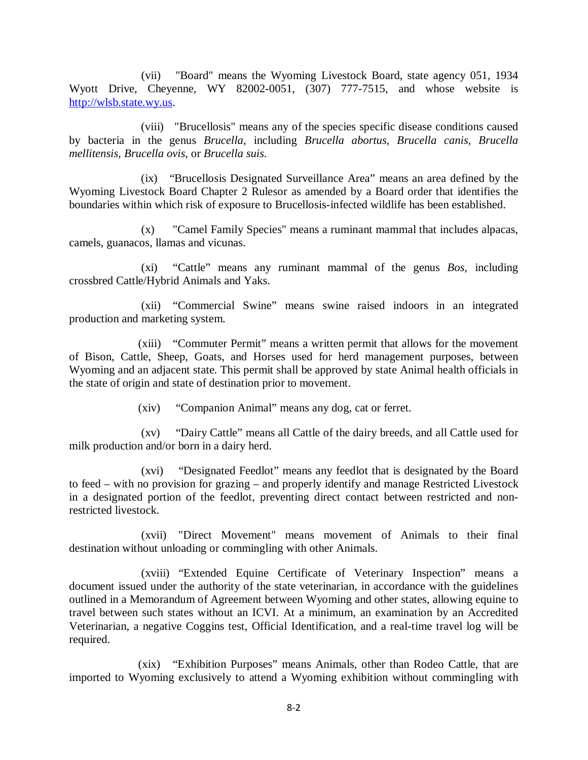(vii) "Board" means the Wyoming Livestock Board, state agency 051, 1934 Wyott Drive, Cheyenne, WY 82002-0051, (307) 777-7515, and whose website is [http://wlsb.state.wy.us.](http://wlsb.state.wy.us/)

(viii) "Brucellosis" means any of the species specific disease conditions caused by bacteria in the genus *Brucella*, including *Brucella abortus, Brucella canis, Brucella mellitensis, Brucella ovis,* or *Brucella suis*.

(ix) "Brucellosis Designated Surveillance Area" means an area defined by the Wyoming Livestock Board Chapter 2 Rulesor as amended by a Board order that identifies the boundaries within which risk of exposure to Brucellosis-infected wildlife has been established.

(x) "Camel Family Species" means a ruminant mammal that includes alpacas, camels, guanacos, llamas and vicunas.

(xi) "Cattle" means any ruminant mammal of the genus *Bos*, including crossbred Cattle/Hybrid Animals and Yaks.

(xii) "Commercial Swine" means swine raised indoors in an integrated production and marketing system.

(xiii) "Commuter Permit" means a written permit that allows for the movement of Bison, Cattle, Sheep, Goats, and Horses used for herd management purposes, between Wyoming and an adjacent state. This permit shall be approved by state Animal health officials in the state of origin and state of destination prior to movement.

(xiv) "Companion Animal" means any dog, cat or ferret.

(xv) "Dairy Cattle" means all Cattle of the dairy breeds, and all Cattle used for milk production and/or born in a dairy herd.

(xvi) "Designated Feedlot" means any feedlot that is designated by the Board to feed – with no provision for grazing – and properly identify and manage Restricted Livestock in a designated portion of the feedlot, preventing direct contact between restricted and nonrestricted livestock.

(xvii) "Direct Movement" means movement of Animals to their final destination without unloading or commingling with other Animals.

(xviii) "Extended Equine Certificate of Veterinary Inspection" means a document issued under the authority of the state veterinarian, in accordance with the guidelines outlined in a Memorandum of Agreement between Wyoming and other states, allowing equine to travel between such states without an ICVI. At a minimum, an examination by an Accredited Veterinarian, a negative Coggins test, Official Identification, and a real-time travel log will be required.

(xix) "Exhibition Purposes" means Animals, other than Rodeo Cattle, that are imported to Wyoming exclusively to attend a Wyoming exhibition without commingling with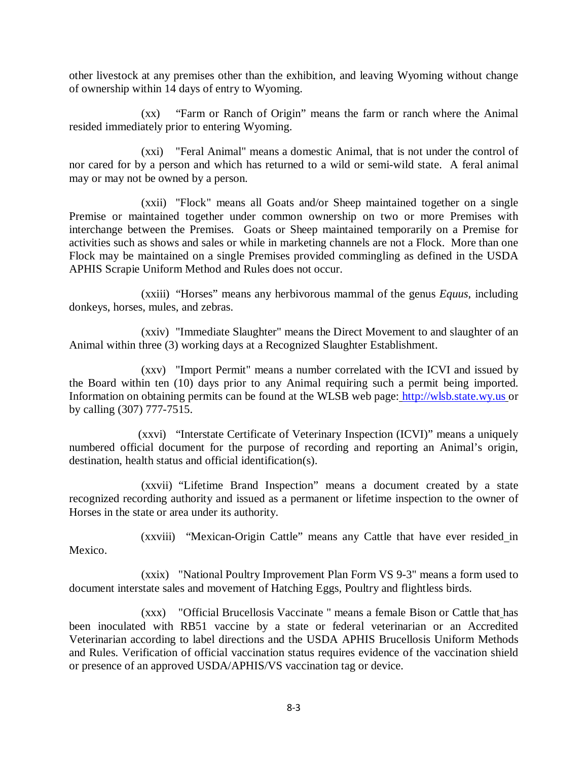other livestock at any premises other than the exhibition, and leaving Wyoming without change of ownership within 14 days of entry to Wyoming.

(xx) "Farm or Ranch of Origin" means the farm or ranch where the Animal resided immediately prior to entering Wyoming.

(xxi) "Feral Animal" means a domestic Animal, that is not under the control of nor cared for by a person and which has returned to a wild or semi-wild state. A feral animal may or may not be owned by a person.

(xxii) "Flock" means all Goats and/or Sheep maintained together on a single Premise or maintained together under common ownership on two or more Premises with interchange between the Premises. Goats or Sheep maintained temporarily on a Premise for activities such as shows and sales or while in marketing channels are not a Flock. More than one Flock may be maintained on a single Premises provided commingling as defined in the USDA APHIS Scrapie Uniform Method and Rules does not occur.

(xxiii) "Horses" means any herbivorous mammal of the genus *Equus*, including donkeys, horses, mules, and zebras.

(xxiv) "Immediate Slaughter" means the Direct Movement to and slaughter of an Animal within three (3) working days at a Recognized Slaughter Establishment.

(xxv) "Import Permit" means a number correlated with the ICVI and issued by the Board within ten (10) days prior to any Animal requiring such a permit being imported. Information on obtaining permits can be found at the WLSB web page: [http://wlsb.state.wy.us](http://wlsb.state.wy.us/) or by calling (307) 777-7515.

(xxvi) "Interstate Certificate of Veterinary Inspection (ICVI)" means a uniquely numbered official document for the purpose of recording and reporting an Animal's origin, destination, health status and official identification(s).

(xxvii) "Lifetime Brand Inspection" means a document created by a state recognized recording authority and issued as a permanent or lifetime inspection to the owner of Horses in the state or area under its authority.

(xxviii) "Mexican-Origin Cattle" means any Cattle that have ever resided in Mexico.

(xxix) "National Poultry Improvement Plan Form VS 9-3" means a form used to document interstate sales and movement of Hatching Eggs, Poultry and flightless birds.

(xxx) "Official Brucellosis Vaccinate " means a female Bison or Cattle that has been inoculated with RB51 vaccine by a state or federal veterinarian or an Accredited Veterinarian according to label directions and the USDA APHIS Brucellosis Uniform Methods and Rules. Verification of official vaccination status requires evidence of the vaccination shield or presence of an approved USDA/APHIS/VS vaccination tag or device.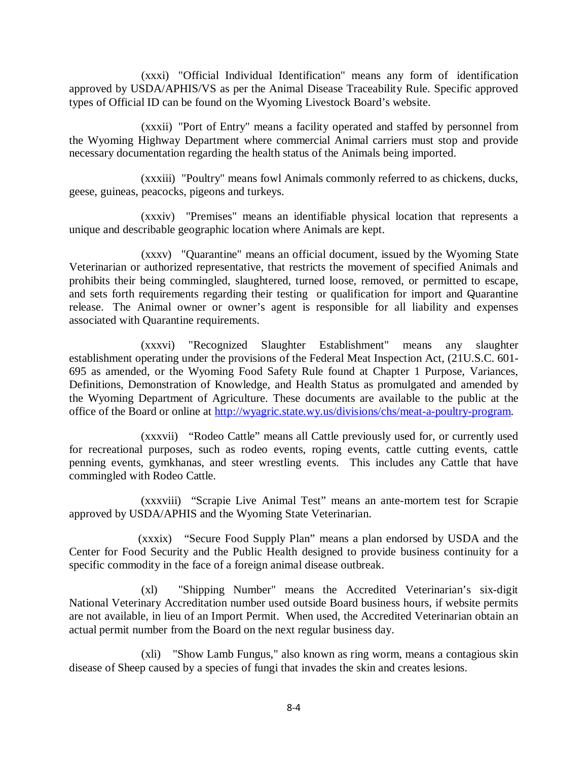(xxxi) "Official Individual Identification" means any form of identification approved by USDA/APHIS/VS as per the Animal Disease Traceability Rule. Specific approved types of Official ID can be found on the Wyoming Livestock Board's website.

(xxxii) "Port of Entry" means a facility operated and staffed by personnel from the Wyoming Highway Department where commercial Animal carriers must stop and provide necessary documentation regarding the health status of the Animals being imported.

(xxxiii) "Poultry" means fowl Animals commonly referred to as chickens, ducks, geese, guineas, peacocks, pigeons and turkeys.

(xxxiv) "Premises" means an identifiable physical location that represents a unique and describable geographic location where Animals are kept.

(xxxv) "Quarantine" means an official document, issued by the Wyoming State Veterinarian or authorized representative, that restricts the movement of specified Animals and prohibits their being commingled, slaughtered, turned loose, removed, or permitted to escape, and sets forth requirements regarding their testing or qualification for import and Quarantine release. The Animal owner or owner's agent is responsible for all liability and expenses associated with Quarantine requirements.

(xxxvi) "Recognized Slaughter Establishment" means any slaughter establishment operating under the provisions of the Federal Meat Inspection Act, (21U.S.C. 601- 695 as amended, or the Wyoming Food Safety Rule found at Chapter 1 Purpose, Variances, Definitions, Demonstration of Knowledge, and Health Status as promulgated and amended by the Wyoming Department of Agriculture. These documents are available to the public at the office of the Board or online at [http://wyagric.state.wy.us/divisions/chs/meat-a-poultry-program.](http://wyagric.state.wy.us/divisions/chs/meat-a-poultry-program)

(xxxvii) "Rodeo Cattle" means all Cattle previously used for, or currently used for recreational purposes, such as rodeo events, roping events, cattle cutting events, cattle penning events, gymkhanas, and steer wrestling events. This includes any Cattle that have commingled with Rodeo Cattle.

(xxxviii) "Scrapie Live Animal Test" means an ante-mortem test for Scrapie approved by USDA/APHIS and the Wyoming State Veterinarian.

(xxxix) "Secure Food Supply Plan" means a plan endorsed by USDA and the Center for Food Security and the Public Health designed to provide business continuity for a specific commodity in the face of a foreign animal disease outbreak.

(xl) "Shipping Number" means the Accredited Veterinarian's six-digit National Veterinary Accreditation number used outside Board business hours, if website permits are not available, in lieu of an Import Permit. When used, the Accredited Veterinarian obtain an actual permit number from the Board on the next regular business day.

(xli) "Show Lamb Fungus," also known as ring worm, means a contagious skin disease of Sheep caused by a species of fungi that invades the skin and creates lesions.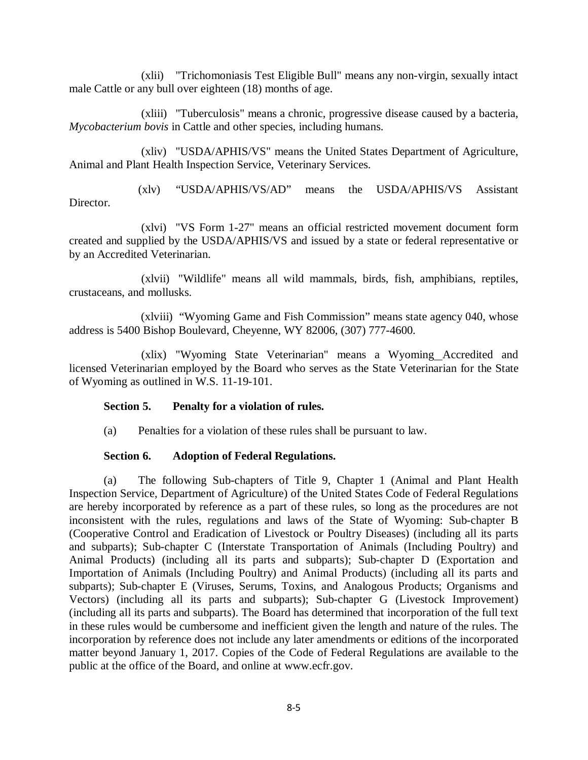(xlii) "Trichomoniasis Test Eligible Bull" means any non-virgin, sexually intact male Cattle or any bull over eighteen (18) months of age.

(xliii) "Tuberculosis" means a chronic, progressive disease caused by a bacteria, *Mycobacterium bovis* in Cattle and other species, including humans.

(xliv) "USDA/APHIS/VS" means the United States Department of Agriculture, Animal and Plant Health Inspection Service, Veterinary Services.

(xlv) "USDA/APHIS/VS/AD" means the USDA/APHIS/VS Assistant Director.

(xlvi) "VS Form 1-27" means an official restricted movement document form created and supplied by the USDA/APHIS/VS and issued by a state or federal representative or by an Accredited Veterinarian.

(xlvii) "Wildlife" means all wild mammals, birds, fish, amphibians, reptiles, crustaceans, and mollusks.

(xlviii) "Wyoming Game and Fish Commission" means state agency 040, whose address is 5400 Bishop Boulevard, Cheyenne, WY 82006, (307) 777-4600.

(xlix) "Wyoming State Veterinarian" means a Wyoming Accredited and licensed Veterinarian employed by the Board who serves as the State Veterinarian for the State of Wyoming as outlined in W.S. 11-19-101.

### **Section 5. Penalty for a violation of rules.**

(a) Penalties for a violation of these rules shall be pursuant to law.

## **Section 6. Adoption of Federal Regulations.**

(a) The following Sub-chapters of Title 9, Chapter 1 (Animal and Plant Health Inspection Service, Department of Agriculture) of the United States Code of Federal Regulations are hereby incorporated by reference as a part of these rules, so long as the procedures are not inconsistent with the rules, regulations and laws of the State of Wyoming: Sub-chapter B (Cooperative Control and Eradication of Livestock or Poultry Diseases) (including all its parts and subparts); Sub-chapter C (Interstate Transportation of Animals (Including Poultry) and Animal Products) (including all its parts and subparts); Sub-chapter D (Exportation and Importation of Animals (Including Poultry) and Animal Products) (including all its parts and subparts); Sub-chapter E (Viruses, Serums, Toxins, and Analogous Products; Organisms and Vectors) (including all its parts and subparts); Sub-chapter G (Livestock Improvement) (including all its parts and subparts). The Board has determined that incorporation of the full text in these rules would be cumbersome and inefficient given the length and nature of the rules. The incorporation by reference does not include any later amendments or editions of the incorporated matter beyond January 1, 2017. Copies of the Code of Federal Regulations are available to the public at the office of the Board, and online at www.ecfr.gov.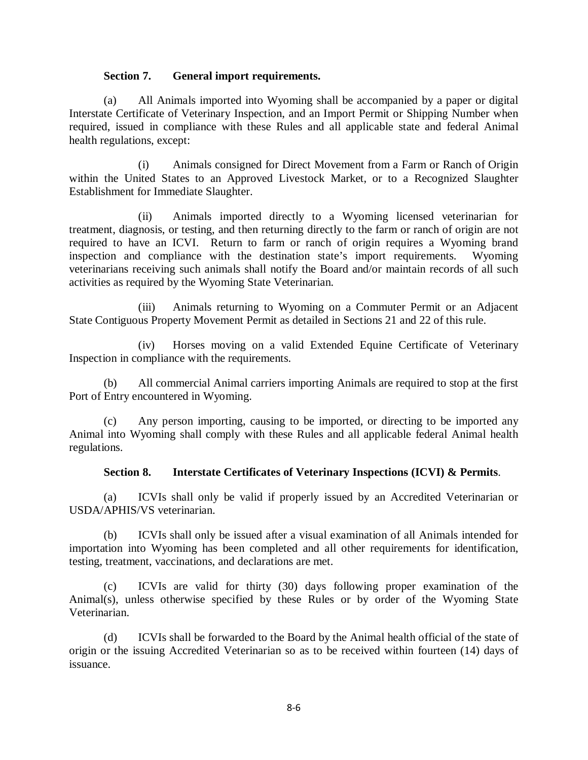### **Section 7. General import requirements.**

(a) All Animals imported into Wyoming shall be accompanied by a paper or digital Interstate Certificate of Veterinary Inspection, and an Import Permit or Shipping Number when required, issued in compliance with these Rules and all applicable state and federal Animal health regulations, except:

(i) Animals consigned for Direct Movement from a Farm or Ranch of Origin within the United States to an Approved Livestock Market, or to a Recognized Slaughter Establishment for Immediate Slaughter.

(ii) Animals imported directly to a Wyoming licensed veterinarian for treatment, diagnosis, or testing, and then returning directly to the farm or ranch of origin are not required to have an ICVI. Return to farm or ranch of origin requires a Wyoming brand inspection and compliance with the destination state's import requirements. Wyoming veterinarians receiving such animals shall notify the Board and/or maintain records of all such activities as required by the Wyoming State Veterinarian.

(iii) Animals returning to Wyoming on a Commuter Permit or an Adjacent State Contiguous Property Movement Permit as detailed in Sections 21 and 22 of this rule.

(iv) Horses moving on a valid Extended Equine Certificate of Veterinary Inspection in compliance with the requirements.

(b) All commercial Animal carriers importing Animals are required to stop at the first Port of Entry encountered in Wyoming.

(c) Any person importing, causing to be imported, or directing to be imported any Animal into Wyoming shall comply with these Rules and all applicable federal Animal health regulations.

### **Section 8. Interstate Certificates of Veterinary Inspections (ICVI) & Permits**.

(a) ICVIs shall only be valid if properly issued by an Accredited Veterinarian or USDA/APHIS/VS veterinarian.

(b) ICVIs shall only be issued after a visual examination of all Animals intended for importation into Wyoming has been completed and all other requirements for identification, testing, treatment, vaccinations, and declarations are met.

(c) ICVIs are valid for thirty (30) days following proper examination of the Animal(s), unless otherwise specified by these Rules or by order of the Wyoming State Veterinarian.

(d) ICVIs shall be forwarded to the Board by the Animal health official of the state of origin or the issuing Accredited Veterinarian so as to be received within fourteen (14) days of issuance.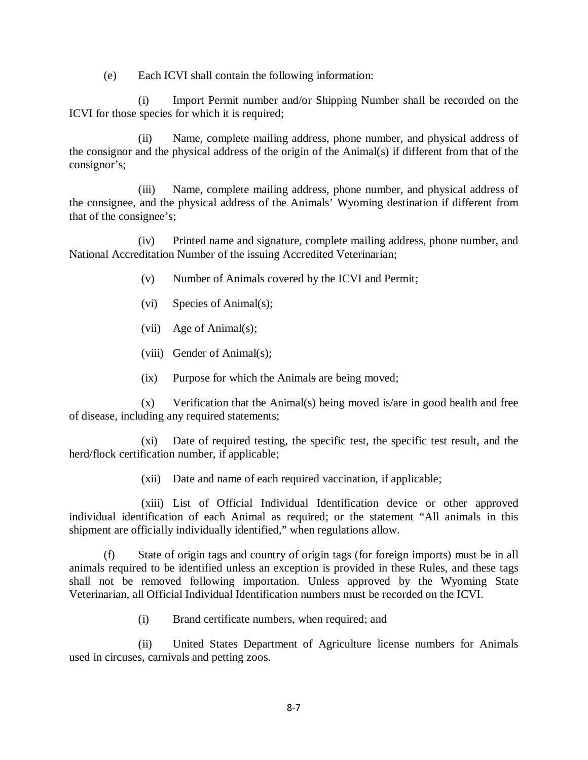(e) Each ICVI shall contain the following information:

(i) Import Permit number and/or Shipping Number shall be recorded on the ICVI for those species for which it is required;

(ii) Name, complete mailing address, phone number, and physical address of the consignor and the physical address of the origin of the Animal(s) if different from that of the consignor's;

(iii) Name, complete mailing address, phone number, and physical address of the consignee, and the physical address of the Animals' Wyoming destination if different from that of the consignee's;

(iv) Printed name and signature, complete mailing address, phone number, and National Accreditation Number of the issuing Accredited Veterinarian;

- (v) Number of Animals covered by the ICVI and Permit;
- (vi) Species of Animal(s);
- (vii) Age of Animal(s);
- (viii) Gender of Animal(s);
- (ix) Purpose for which the Animals are being moved;

(x) Verification that the Animal(s) being moved is/are in good health and free of disease, including any required statements;

(xi) Date of required testing, the specific test, the specific test result, and the herd/flock certification number, if applicable;

(xii) Date and name of each required vaccination, if applicable;

(xiii) List of Official Individual Identification device or other approved individual identification of each Animal as required; or the statement "All animals in this shipment are officially individually identified," when regulations allow.

(f) State of origin tags and country of origin tags (for foreign imports) must be in all animals required to be identified unless an exception is provided in these Rules, and these tags shall not be removed following importation. Unless approved by the Wyoming State Veterinarian, all Official Individual Identification numbers must be recorded on the ICVI.

(i) Brand certificate numbers, when required; and

(ii) United States Department of Agriculture license numbers for Animals used in circuses, carnivals and petting zoos.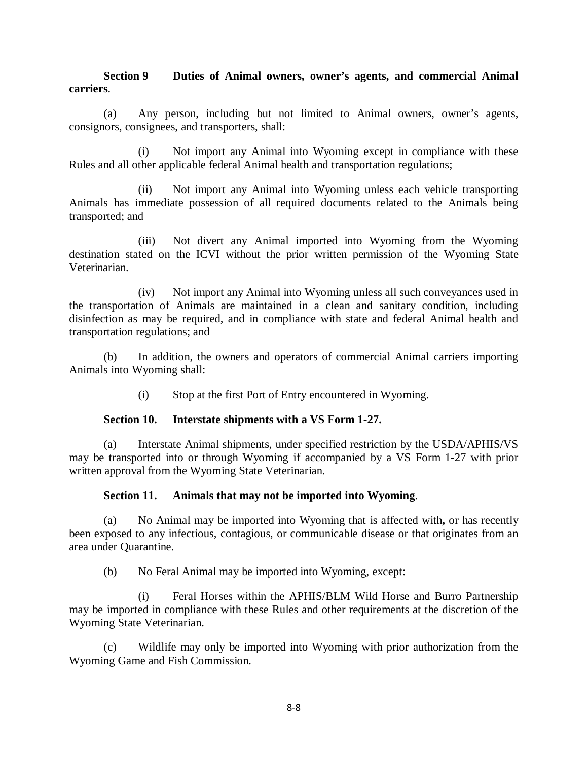### **Section 9 Duties of Animal owners, owner's agents, and commercial Animal carriers**.

(a) Any person, including but not limited to Animal owners, owner's agents, consignors, consignees, and transporters, shall:

(i) Not import any Animal into Wyoming except in compliance with these Rules and all other applicable federal Animal health and transportation regulations;

(ii) Not import any Animal into Wyoming unless each vehicle transporting Animals has immediate possession of all required documents related to the Animals being transported; and

(iii) Not divert any Animal imported into Wyoming from the Wyoming destination stated on the ICVI without the prior written permission of the Wyoming State Veterinarian.

(iv) Not import any Animal into Wyoming unless all such conveyances used in the transportation of Animals are maintained in a clean and sanitary condition, including disinfection as may be required, and in compliance with state and federal Animal health and transportation regulations; and

(b) In addition, the owners and operators of commercial Animal carriers importing Animals into Wyoming shall:

(i) Stop at the first Port of Entry encountered in Wyoming.

### **Section 10. Interstate shipments with a VS Form 1-27.**

(a) Interstate Animal shipments, under specified restriction by the USDA/APHIS/VS may be transported into or through Wyoming if accompanied by a VS Form 1-27 with prior written approval from the Wyoming State Veterinarian.

## **Section 11. Animals that may not be imported into Wyoming**.

(a) No Animal may be imported into Wyoming that is affected with**,** or has recently been exposed to any infectious, contagious, or communicable disease or that originates from an area under Quarantine.

(b) No Feral Animal may be imported into Wyoming, except:

(i) Feral Horses within the APHIS/BLM Wild Horse and Burro Partnership may be imported in compliance with these Rules and other requirements at the discretion of the Wyoming State Veterinarian.

(c) Wildlife may only be imported into Wyoming with prior authorization from the Wyoming Game and Fish Commission.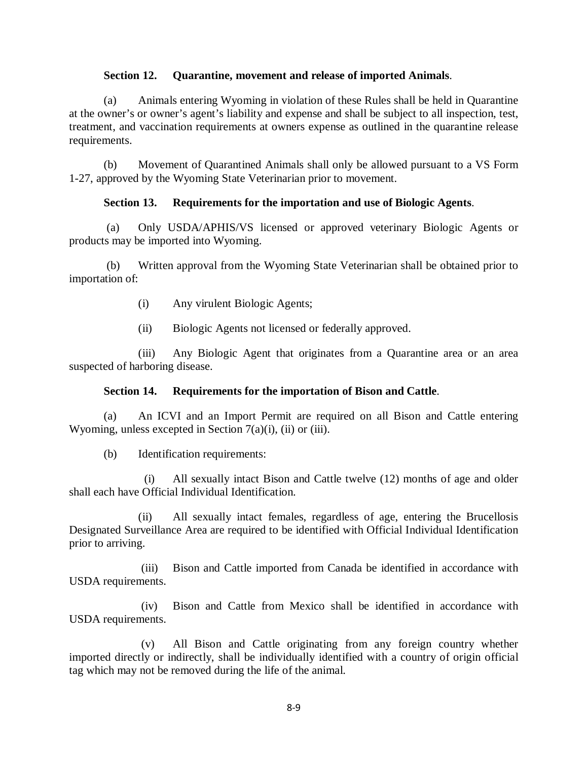### **Section 12. Quarantine, movement and release of imported Animals**.

(a) Animals entering Wyoming in violation of these Rules shall be held in Quarantine at the owner's or owner's agent's liability and expense and shall be subject to all inspection, test, treatment, and vaccination requirements at owners expense as outlined in the quarantine release requirements.

(b) Movement of Quarantined Animals shall only be allowed pursuant to a VS Form 1-27, approved by the Wyoming State Veterinarian prior to movement.

## **Section 13. Requirements for the importation and use of Biologic Agents**.

(a) Only USDA/APHIS/VS licensed or approved veterinary Biologic Agents or products may be imported into Wyoming.

(b) Written approval from the Wyoming State Veterinarian shall be obtained prior to importation of:

- (i) Any virulent Biologic Agents;
- (ii) Biologic Agents not licensed or federally approved.

(iii) Any Biologic Agent that originates from a Quarantine area or an area suspected of harboring disease.

### **Section 14. Requirements for the importation of Bison and Cattle**.

(a) An ICVI and an Import Permit are required on all Bison and Cattle entering Wyoming, unless excepted in Section  $7(a)(i)$ , (ii) or (iii).

(b) Identification requirements:

 (i) All sexually intact Bison and Cattle twelve (12) months of age and older shall each have Official Individual Identification.

(ii) All sexually intact females, regardless of age, entering the Brucellosis Designated Surveillance Area are required to be identified with Official Individual Identification prior to arriving.

(iii) Bison and Cattle imported from Canada be identified in accordance with USDA requirements.

(iv) Bison and Cattle from Mexico shall be identified in accordance with USDA requirements.

(v) All Bison and Cattle originating from any foreign country whether imported directly or indirectly, shall be individually identified with a country of origin official tag which may not be removed during the life of the animal.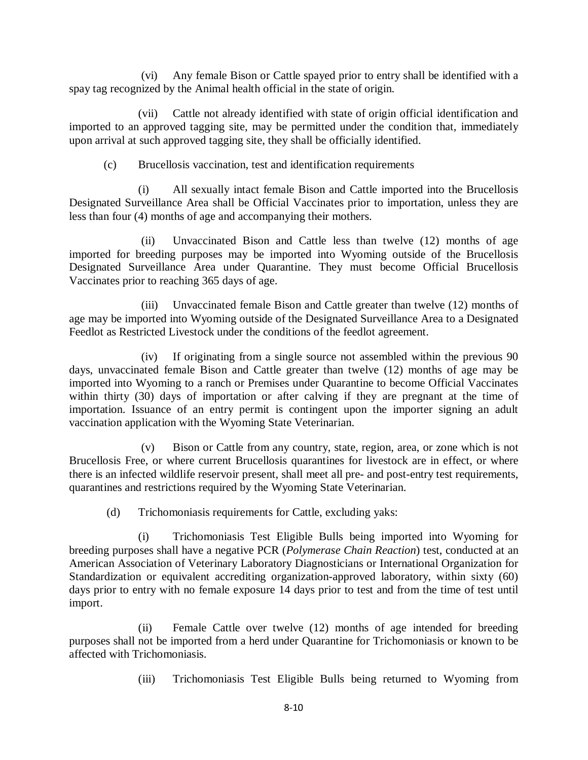(vi) Any female Bison or Cattle spayed prior to entry shall be identified with a spay tag recognized by the Animal health official in the state of origin.

(vii) Cattle not already identified with state of origin official identification and imported to an approved tagging site, may be permitted under the condition that, immediately upon arrival at such approved tagging site, they shall be officially identified.

(c) Brucellosis vaccination, test and identification requirements

(i) All sexually intact female Bison and Cattle imported into the Brucellosis Designated Surveillance Area shall be Official Vaccinates prior to importation, unless they are less than four (4) months of age and accompanying their mothers.

(ii) Unvaccinated Bison and Cattle less than twelve (12) months of age imported for breeding purposes may be imported into Wyoming outside of the Brucellosis Designated Surveillance Area under Quarantine. They must become Official Brucellosis Vaccinates prior to reaching 365 days of age.

(iii) Unvaccinated female Bison and Cattle greater than twelve (12) months of age may be imported into Wyoming outside of the Designated Surveillance Area to a Designated Feedlot as Restricted Livestock under the conditions of the feedlot agreement.

(iv) If originating from a single source not assembled within the previous 90 days, unvaccinated female Bison and Cattle greater than twelve (12) months of age may be imported into Wyoming to a ranch or Premises under Quarantine to become Official Vaccinates within thirty (30) days of importation or after calving if they are pregnant at the time of importation. Issuance of an entry permit is contingent upon the importer signing an adult vaccination application with the Wyoming State Veterinarian.

(v) Bison or Cattle from any country, state, region, area, or zone which is not Brucellosis Free, or where current Brucellosis quarantines for livestock are in effect, or where there is an infected wildlife reservoir present, shall meet all pre- and post-entry test requirements, quarantines and restrictions required by the Wyoming State Veterinarian.

(d) Trichomoniasis requirements for Cattle, excluding yaks:

(i) Trichomoniasis Test Eligible Bulls being imported into Wyoming for breeding purposes shall have a negative PCR (*Polymerase Chain Reaction*) test, conducted at an American Association of Veterinary Laboratory Diagnosticians or International Organization for Standardization or equivalent accrediting organization-approved laboratory, within sixty (60) days prior to entry with no female exposure 14 days prior to test and from the time of test until import.

(ii) Female Cattle over twelve (12) months of age intended for breeding purposes shall not be imported from a herd under Quarantine for Trichomoniasis or known to be affected with Trichomoniasis.

(iii) Trichomoniasis Test Eligible Bulls being returned to Wyoming from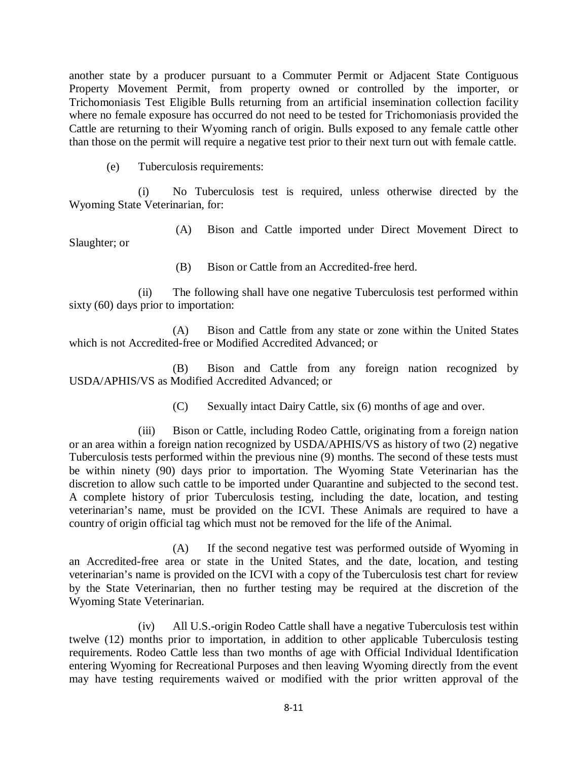another state by a producer pursuant to a Commuter Permit or Adjacent State Contiguous Property Movement Permit, from property owned or controlled by the importer, or Trichomoniasis Test Eligible Bulls returning from an artificial insemination collection facility where no female exposure has occurred do not need to be tested for Trichomoniasis provided the Cattle are returning to their Wyoming ranch of origin. Bulls exposed to any female cattle other than those on the permit will require a negative test prior to their next turn out with female cattle.

(e) Tuberculosis requirements:

(i) No Tuberculosis test is required, unless otherwise directed by the Wyoming State Veterinarian, for:

(A) Bison and Cattle imported under Direct Movement Direct to Slaughter; or

(B) Bison or Cattle from an Accredited-free herd.

(ii) The following shall have one negative Tuberculosis test performed within sixty (60) days prior to importation:

(A) Bison and Cattle from any state or zone within the United States which is not Accredited-free or Modified Accredited Advanced; or

(B) Bison and Cattle from any foreign nation recognized by USDA/APHIS/VS as Modified Accredited Advanced; or

(C) Sexually intact Dairy Cattle, six (6) months of age and over.

(iii) Bison or Cattle, including Rodeo Cattle, originating from a foreign nation or an area within a foreign nation recognized by USDA/APHIS/VS as history of two (2) negative Tuberculosis tests performed within the previous nine (9) months. The second of these tests must be within ninety (90) days prior to importation. The Wyoming State Veterinarian has the discretion to allow such cattle to be imported under Quarantine and subjected to the second test. A complete history of prior Tuberculosis testing, including the date, location, and testing veterinarian's name, must be provided on the ICVI. These Animals are required to have a country of origin official tag which must not be removed for the life of the Animal.

(A) If the second negative test was performed outside of Wyoming in an Accredited-free area or state in the United States, and the date, location, and testing veterinarian's name is provided on the ICVI with a copy of the Tuberculosis test chart for review by the State Veterinarian, then no further testing may be required at the discretion of the Wyoming State Veterinarian.

(iv) All U.S.-origin Rodeo Cattle shall have a negative Tuberculosis test within twelve (12) months prior to importation, in addition to other applicable Tuberculosis testing requirements. Rodeo Cattle less than two months of age with Official Individual Identification entering Wyoming for Recreational Purposes and then leaving Wyoming directly from the event may have testing requirements waived or modified with the prior written approval of the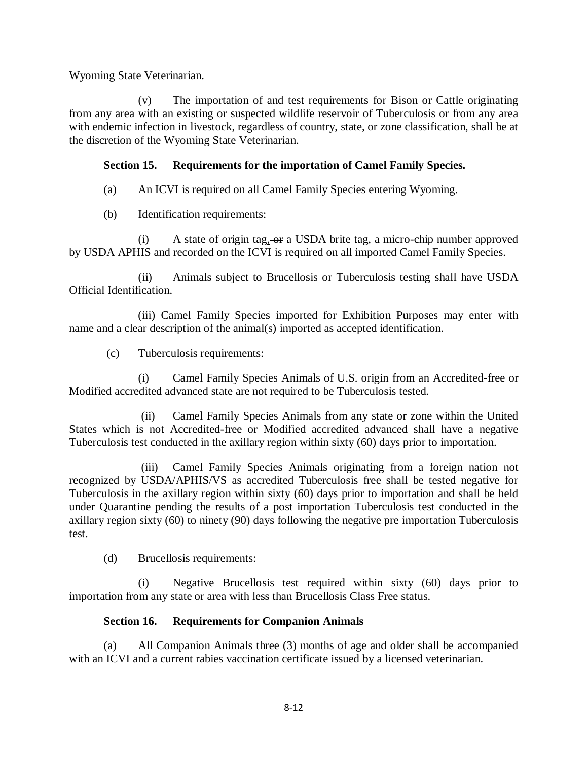Wyoming State Veterinarian.

(v) The importation of and test requirements for Bison or Cattle originating from any area with an existing or suspected wildlife reservoir of Tuberculosis or from any area with endemic infection in livestock, regardless of country, state, or zone classification, shall be at the discretion of the Wyoming State Veterinarian.

# **Section 15. Requirements for the importation of Camel Family Species.**

- (a) An ICVI is required on all Camel Family Species entering Wyoming.
- (b) Identification requirements:

 $(i)$  A state of origin tag,  $-$ or a USDA brite tag, a micro-chip number approved by USDA APHIS and recorded on the ICVI is required on all imported Camel Family Species.

(ii) Animals subject to Brucellosis or Tuberculosis testing shall have USDA Official Identification.

 (iii) Camel Family Species imported for Exhibition Purposes may enter with name and a clear description of the animal(s) imported as accepted identification.

(c) Tuberculosis requirements:

(i) Camel Family Species Animals of U.S. origin from an Accredited-free or Modified accredited advanced state are not required to be Tuberculosis tested.

(ii) Camel Family Species Animals from any state or zone within the United States which is not Accredited-free or Modified accredited advanced shall have a negative Tuberculosis test conducted in the axillary region within sixty (60) days prior to importation.

(iii) Camel Family Species Animals originating from a foreign nation not recognized by USDA/APHIS/VS as accredited Tuberculosis free shall be tested negative for Tuberculosis in the axillary region within sixty (60) days prior to importation and shall be held under Quarantine pending the results of a post importation Tuberculosis test conducted in the axillary region sixty (60) to ninety (90) days following the negative pre importation Tuberculosis test.

(d) Brucellosis requirements:

(i) Negative Brucellosis test required within sixty (60) days prior to importation from any state or area with less than Brucellosis Class Free status.

## **Section 16. Requirements for Companion Animals**

(a) All Companion Animals three (3) months of age and older shall be accompanied with an ICVI and a current rabies vaccination certificate issued by a licensed veterinarian.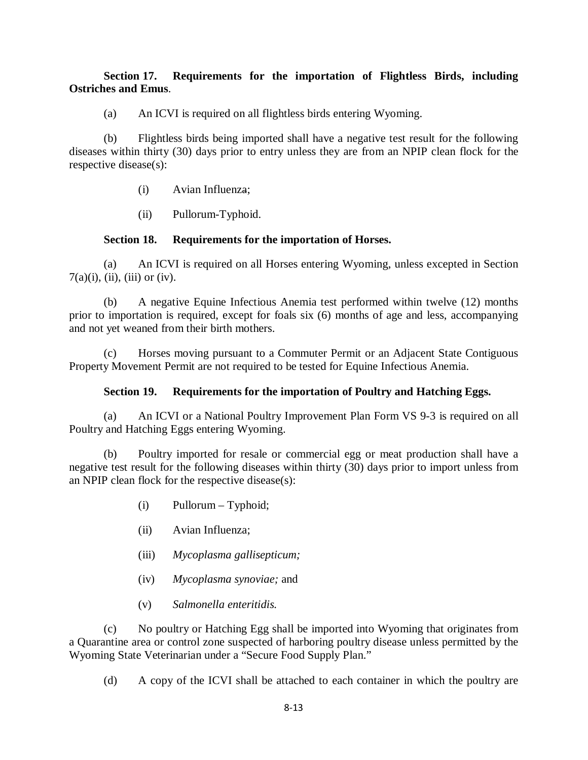### **Section 17. Requirements for the importation of Flightless Birds, including Ostriches and Emus**.

(a) An ICVI is required on all flightless birds entering Wyoming.

(b) Flightless birds being imported shall have a negative test result for the following diseases within thirty (30) days prior to entry unless they are from an NPIP clean flock for the respective disease(s):

- (i) Avian Influenza;
- (ii) Pullorum-Typhoid.

### **Section 18. Requirements for the importation of Horses.**

(a) An ICVI is required on all Horses entering Wyoming, unless excepted in Section  $7(a)(i)$ , (ii), (iii) or (iv).

(b) A negative Equine Infectious Anemia test performed within twelve (12) months prior to importation is required, except for foals six (6) months of age and less, accompanying and not yet weaned from their birth mothers.

(c) Horses moving pursuant to a Commuter Permit or an Adjacent State Contiguous Property Movement Permit are not required to be tested for Equine Infectious Anemia.

### **Section 19. Requirements for the importation of Poultry and Hatching Eggs.**

(a) An ICVI or a National Poultry Improvement Plan Form VS 9-3 is required on all Poultry and Hatching Eggs entering Wyoming.

(b) Poultry imported for resale or commercial egg or meat production shall have a negative test result for the following diseases within thirty (30) days prior to import unless from an NPIP clean flock for the respective disease(s):

- (i) Pullorum Typhoid;
- (ii) Avian Influenza;
- (iii) *Mycoplasma gallisepticum;*
- (iv) *Mycoplasma synoviae;* and
- (v) *Salmonella enteritidis.*

(c) No poultry or Hatching Egg shall be imported into Wyoming that originates from a Quarantine area or control zone suspected of harboring poultry disease unless permitted by the Wyoming State Veterinarian under a "Secure Food Supply Plan."

(d) A copy of the ICVI shall be attached to each container in which the poultry are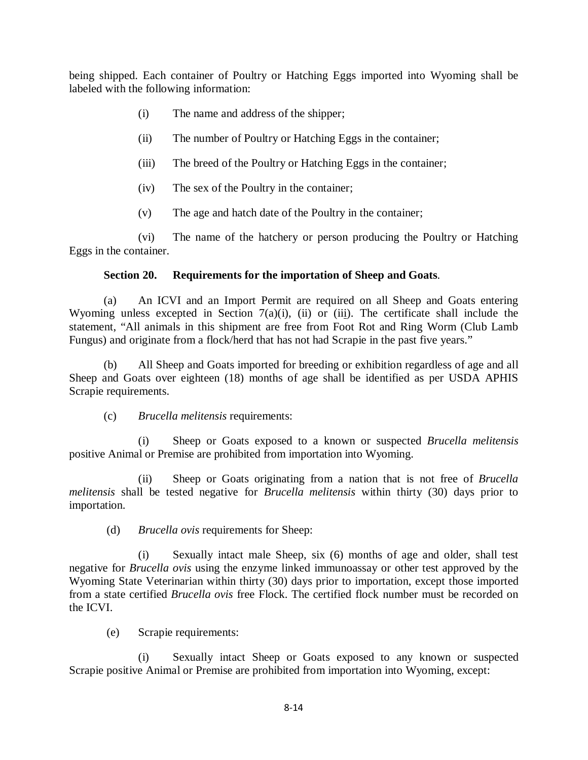being shipped. Each container of Poultry or Hatching Eggs imported into Wyoming shall be labeled with the following information:

- (i) The name and address of the shipper;
- (ii) The number of Poultry or Hatching Eggs in the container;
- (iii) The breed of the Poultry or Hatching Eggs in the container;
- (iv) The sex of the Poultry in the container;
- (v) The age and hatch date of the Poultry in the container;

(vi) The name of the hatchery or person producing the Poultry or Hatching Eggs in the container.

## **Section 20. Requirements for the importation of Sheep and Goats**.

(a) An ICVI and an Import Permit are required on all Sheep and Goats entering Wyoming unless excepted in Section  $7(a)(i)$ , (ii) or (iii). The certificate shall include the statement, "All animals in this shipment are free from Foot Rot and Ring Worm (Club Lamb Fungus) and originate from a flock/herd that has not had Scrapie in the past five years."

(b) All Sheep and Goats imported for breeding or exhibition regardless of age and all Sheep and Goats over eighteen (18) months of age shall be identified as per USDA APHIS Scrapie requirements.

(c) *Brucella melitensis* requirements:

(i) Sheep or Goats exposed to a known or suspected *Brucella melitensis* positive Animal or Premise are prohibited from importation into Wyoming.

(ii) Sheep or Goats originating from a nation that is not free of *Brucella melitensis* shall be tested negative for *Brucella melitensis* within thirty (30) days prior to importation.

(d) *Brucella ovis* requirements for Sheep:

(i) Sexually intact male Sheep, six (6) months of age and older, shall test negative for *Brucella ovis* using the enzyme linked immunoassay or other test approved by the Wyoming State Veterinarian within thirty (30) days prior to importation, except those imported from a state certified *Brucella ovis* free Flock. The certified flock number must be recorded on the ICVI.

(e) Scrapie requirements:

(i) Sexually intact Sheep or Goats exposed to any known or suspected Scrapie positive Animal or Premise are prohibited from importation into Wyoming, except: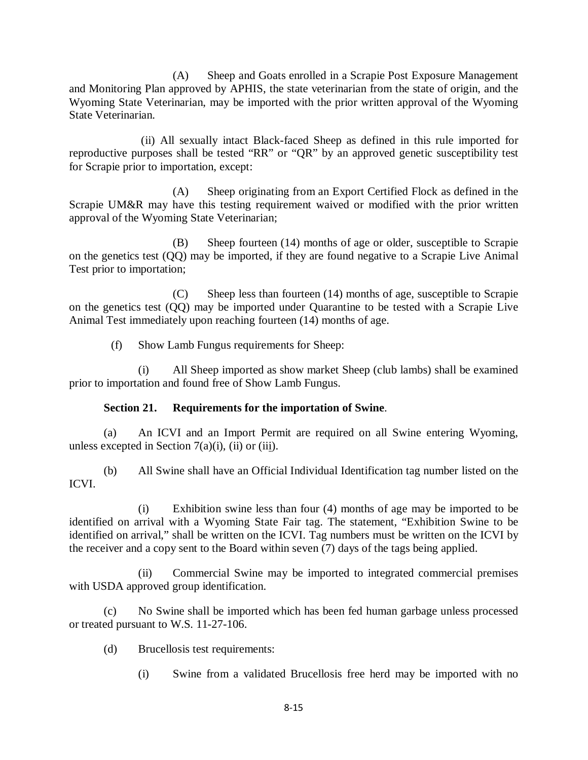(A) Sheep and Goats enrolled in a Scrapie Post Exposure Management and Monitoring Plan approved by APHIS, the state veterinarian from the state of origin, and the Wyoming State Veterinarian, may be imported with the prior written approval of the Wyoming State Veterinarian.

(ii) All sexually intact Black-faced Sheep as defined in this rule imported for reproductive purposes shall be tested "RR" or "QR" by an approved genetic susceptibility test for Scrapie prior to importation, except:

(A) Sheep originating from an Export Certified Flock as defined in the Scrapie UM&R may have this testing requirement waived or modified with the prior written approval of the Wyoming State Veterinarian;

(B) Sheep fourteen (14) months of age or older, susceptible to Scrapie on the genetics test (QQ) may be imported, if they are found negative to a Scrapie Live Animal Test prior to importation;

(C) Sheep less than fourteen (14) months of age, susceptible to Scrapie on the genetics test (QQ) may be imported under Quarantine to be tested with a Scrapie Live Animal Test immediately upon reaching fourteen (14) months of age.

(f) Show Lamb Fungus requirements for Sheep:

(i) All Sheep imported as show market Sheep (club lambs) shall be examined prior to importation and found free of Show Lamb Fungus.

### **Section 21. Requirements for the importation of Swine**.

(a) An ICVI and an Import Permit are required on all Swine entering Wyoming, unless excepted in Section  $7(a)(i)$ , (ii) or (iii).

(b) All Swine shall have an Official Individual Identification tag number listed on the ICVI.

(i) Exhibition swine less than four (4) months of age may be imported to be identified on arrival with a Wyoming State Fair tag. The statement, "Exhibition Swine to be identified on arrival," shall be written on the ICVI. Tag numbers must be written on the ICVI by the receiver and a copy sent to the Board within seven (7) days of the tags being applied.

(ii) Commercial Swine may be imported to integrated commercial premises with USDA approved group identification.

(c) No Swine shall be imported which has been fed human garbage unless processed or treated pursuant to W.S. 11-27-106.

- (d) Brucellosis test requirements:
	- (i) Swine from a validated Brucellosis free herd may be imported with no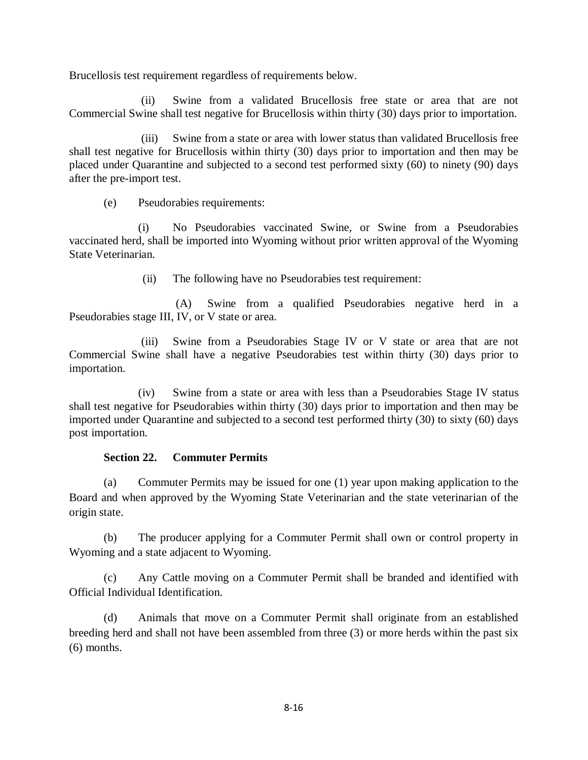Brucellosis test requirement regardless of requirements below.

(ii) Swine from a validated Brucellosis free state or area that are not Commercial Swine shall test negative for Brucellosis within thirty (30) days prior to importation.

(iii) Swine from a state or area with lower status than validated Brucellosis free shall test negative for Brucellosis within thirty (30) days prior to importation and then may be placed under Quarantine and subjected to a second test performed sixty (60) to ninety (90) days after the pre-import test.

(e) Pseudorabies requirements:

(i) No Pseudorabies vaccinated Swine, or Swine from a Pseudorabies vaccinated herd, shall be imported into Wyoming without prior written approval of the Wyoming State Veterinarian.

(ii) The following have no Pseudorabies test requirement:

(A) Swine from a qualified Pseudorabies negative herd in a Pseudorabies stage III, IV, or V state or area.

(iii) Swine from a Pseudorabies Stage IV or V state or area that are not Commercial Swine shall have a negative Pseudorabies test within thirty (30) days prior to importation.

(iv) Swine from a state or area with less than a Pseudorabies Stage IV status shall test negative for Pseudorabies within thirty (30) days prior to importation and then may be imported under Quarantine and subjected to a second test performed thirty (30) to sixty (60) days post importation.

### **Section 22. Commuter Permits**

(a) Commuter Permits may be issued for one (1) year upon making application to the Board and when approved by the Wyoming State Veterinarian and the state veterinarian of the origin state.

(b) The producer applying for a Commuter Permit shall own or control property in Wyoming and a state adjacent to Wyoming.

(c) Any Cattle moving on a Commuter Permit shall be branded and identified with Official Individual Identification.

(d) Animals that move on a Commuter Permit shall originate from an established breeding herd and shall not have been assembled from three (3) or more herds within the past six (6) months.